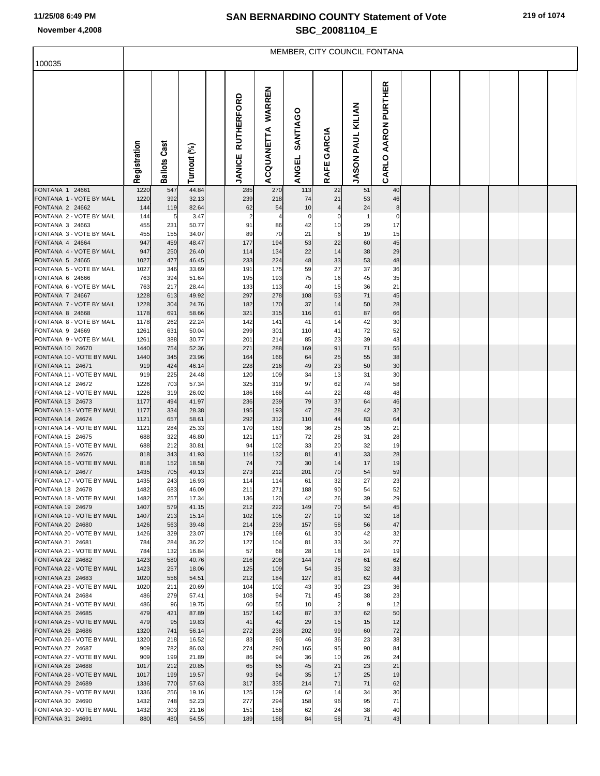|                                               | MEMBER, CITY COUNCIL FONTANA |                        |                |  |                                    |                      |                          |                                |                                |                        |  |  |  |  |  |  |
|-----------------------------------------------|------------------------------|------------------------|----------------|--|------------------------------------|----------------------|--------------------------|--------------------------------|--------------------------------|------------------------|--|--|--|--|--|--|
| 100035                                        |                              |                        |                |  |                                    |                      |                          |                                |                                |                        |  |  |  |  |  |  |
|                                               | Registration                 | Cast<br><b>Ballots</b> | Turnout (%)    |  | <b>RUTHERFORD</b><br><b>JANICE</b> | WARREN<br>ACQUANETTA | SANTIAGO<br><b>ANGEL</b> | GARCIA<br>RAFE                 | KILIAN<br>PAUL<br><b>JASON</b> | AARON PURTHER<br>CARLO |  |  |  |  |  |  |
| FONTANA 1 24661                               | 1220                         | 547                    | 44.84          |  | 285                                | 270                  | 113                      | 22                             | 51                             | 40                     |  |  |  |  |  |  |
| FONTANA 1 - VOTE BY MAIL<br>FONTANA 2 24662   | 1220<br>144                  | 392<br>119             | 32.13<br>82.64 |  | 239<br>62                          | 218<br>54            | 74<br>10                 | 21<br>$\overline{\mathcal{L}}$ | 53<br>24                       | 46<br>8                |  |  |  |  |  |  |
| FONTANA 2 - VOTE BY MAIL                      | 144                          | 5                      | 3.47           |  |                                    |                      | 0                        | C                              | $\mathbf{1}$                   | 0                      |  |  |  |  |  |  |
| FONTANA 3 24663                               | 455                          | 231                    | 50.77          |  | 91                                 | 86                   | 42                       | 10                             | 29                             | 17                     |  |  |  |  |  |  |
| FONTANA 3 - VOTE BY MAIL                      | 455                          | 155                    | 34.07          |  | 89                                 | 70                   | 21                       | 6                              | 19                             | 15                     |  |  |  |  |  |  |
| FONTANA 4 24664<br>FONTANA 4 - VOTE BY MAIL   | 947                          | 459                    | 48.47          |  | 177                                | 194                  | 53<br>22                 | 22<br>14                       | 60<br>38                       | 45                     |  |  |  |  |  |  |
| FONTANA 5 24665                               | 947<br>1027                  | 250<br>477             | 26.40<br>46.45 |  | 114<br>233                         | 134<br>224           | 48                       | 33                             | 53                             | 29<br>48               |  |  |  |  |  |  |
| FONTANA 5 - VOTE BY MAIL                      | 1027                         | 346                    | 33.69          |  | 191                                | 175                  | 59                       | 27                             | 37                             | 36                     |  |  |  |  |  |  |
| FONTANA 6 24666                               | 763                          | 394                    | 51.64          |  | 195                                | 193                  | 75                       | 16                             | 45                             | 35                     |  |  |  |  |  |  |
| FONTANA 6 - VOTE BY MAIL                      | 763                          | 217                    | 28.44          |  | 133                                | 113                  | 40                       | 15                             | 36                             | 21                     |  |  |  |  |  |  |
| FONTANA 7 24667<br>FONTANA 7 - VOTE BY MAIL   | 1228<br>1228                 | 613<br>304             | 49.92<br>24.76 |  | 297<br>182                         | 278<br>170           | 108<br>37                | 53<br>14                       | 71<br>50                       | 45<br>28               |  |  |  |  |  |  |
| FONTANA 8 24668                               | 1178                         | 691                    | 58.66          |  | 321                                | 315                  | 116                      | 61                             | 87                             | 66                     |  |  |  |  |  |  |
| FONTANA 8 - VOTE BY MAIL                      | 1178                         | 262                    | 22.24          |  | 142                                | 141                  | 41                       | 14                             | 42                             | 30                     |  |  |  |  |  |  |
| FONTANA 9 24669                               | 1261                         | 631                    | 50.04          |  | 299                                | 301                  | 110                      | 41                             | 72                             | 52                     |  |  |  |  |  |  |
| FONTANA 9 - VOTE BY MAIL                      | 1261                         | 388                    | 30.77          |  | 201                                | 214                  | 85                       | 23                             | 39                             | 43                     |  |  |  |  |  |  |
| FONTANA 10 24670<br>FONTANA 10 - VOTE BY MAIL | 1440<br>1440                 | 754<br>345             | 52.36<br>23.96 |  | 271<br>164                         | 288<br>166           | 169<br>64                | 91<br>25                       | 71<br>55                       | 55<br>38               |  |  |  |  |  |  |
| FONTANA 11 24671                              | 919                          | 424                    | 46.14          |  | 228                                | 216                  | 49                       | 23                             | 50                             | 30                     |  |  |  |  |  |  |
| FONTANA 11 - VOTE BY MAIL                     | 919                          | 225                    | 24.48          |  | 120                                | 109                  | 34                       | 13                             | 31                             | 30                     |  |  |  |  |  |  |
| FONTANA 12 24672                              | 1226                         | 703                    | 57.34          |  | 325                                | 319                  | 97                       | 62                             | 74                             | 58                     |  |  |  |  |  |  |
| FONTANA 12 - VOTE BY MAIL<br>FONTANA 13 24673 | 1226<br>1177                 | 319<br>494             | 26.02<br>41.97 |  | 186<br>236                         | 168<br>239           | 44<br>79                 | 22<br>37                       | 48<br>64                       | 48<br>46               |  |  |  |  |  |  |
| FONTANA 13 - VOTE BY MAIL                     | 1177                         | 334                    | 28.38          |  | 195                                | 193                  | 47                       | 28                             | 42                             | 32                     |  |  |  |  |  |  |
| FONTANA 14 24674                              | 1121                         | 657                    | 58.61          |  | 292                                | 312                  | 110                      | 44                             | 83                             | 64                     |  |  |  |  |  |  |
| FONTANA 14 - VOTE BY MAIL                     | 1121                         | 284                    | 25.33          |  | 170                                | 160                  | 36                       | 25                             | 35                             | 21                     |  |  |  |  |  |  |
| FONTANA 15 24675                              | 688                          | 322                    | 46.80          |  | 121                                | 117                  | 72                       | 28                             | 31                             | 28                     |  |  |  |  |  |  |
| FONTANA 15 - VOTE BY MAIL<br>FONTANA 16 24676 | 688<br>818                   | 212<br>343             | 30.81<br>41.93 |  | 94<br>116                          | 102<br>132           | 33<br>81                 | 20<br>41                       | 32<br>33                       | 19<br>28               |  |  |  |  |  |  |
| FONTANA 16 - VOTE BY MAIL                     | 818                          | 152                    | 18.58          |  | 74                                 | 73                   | 30                       | 14                             | 17                             | 19                     |  |  |  |  |  |  |
| FONTANA 17 24677                              | 1435                         | 705                    | 49.13          |  | 273                                | 212                  | 201                      | 70                             | 54                             | 59                     |  |  |  |  |  |  |
| FONTANA 17 - VOTE BY MAIL                     | 1435                         | 243                    | 16.93          |  | 114                                | 114                  | 61                       | 32                             | 27                             | 23                     |  |  |  |  |  |  |
| FONTANA 18 24678<br>FONTANA 18 - VOTE BY MAIL | 1482<br>1482                 | 683<br>257             | 46.09<br>17.34 |  | 211<br>136                         | 271<br>120           | 188<br>42                | 90<br>26                       | 54<br>39                       | 52<br>29               |  |  |  |  |  |  |
| FONTANA 19 24679                              | 1407                         | 579                    | 41.15          |  | 212                                | 222                  | 149                      | 70                             | 54                             | 45                     |  |  |  |  |  |  |
| FONTANA 19 - VOTE BY MAIL                     | 1407                         | 213                    | 15.14          |  | 102                                | 105                  | 27                       | 19                             | 32                             | 18                     |  |  |  |  |  |  |
| FONTANA 20 24680                              | 1426                         | 563                    | 39.48          |  | 214                                | 239                  | 157                      | 58                             | 56                             | 47                     |  |  |  |  |  |  |
| FONTANA 20 - VOTE BY MAIL<br>FONTANA 21 24681 | 1426<br>784                  | 329<br>284             | 23.07<br>36.22 |  | 179<br>127                         | 169<br>104           | 61<br>81                 | 30<br>33                       | 42<br>34                       | 32<br>27               |  |  |  |  |  |  |
| FONTANA 21 - VOTE BY MAIL                     | 784                          | 132                    | 16.84          |  | 57                                 | 68                   | 28                       | 18                             | 24                             | 19                     |  |  |  |  |  |  |
| FONTANA 22 24682                              | 1423                         | 580                    | 40.76          |  | 216                                | 208                  | 144                      | 78                             | 61                             | 62                     |  |  |  |  |  |  |
| FONTANA 22 - VOTE BY MAIL                     | 1423                         | 257                    | 18.06          |  | 125                                | 109                  | 54                       | 35                             | 32                             | 33                     |  |  |  |  |  |  |
| FONTANA 23 24683<br>FONTANA 23 - VOTE BY MAIL | 1020<br>1020                 | 556<br>211             | 54.51          |  | 212<br>104                         | 184<br>102           | 127                      | 81<br>30                       | 62<br>23                       | 44<br>36               |  |  |  |  |  |  |
| FONTANA 24 24684                              | 486                          | 279                    | 20.69<br>57.41 |  | 108                                | 94                   | 43<br>71                 | 45                             | 38                             | 23                     |  |  |  |  |  |  |
| FONTANA 24 - VOTE BY MAIL                     | 486                          | 96                     | 19.75          |  | 60                                 | 55                   | 10                       | $\overline{2}$                 | 9                              | 12                     |  |  |  |  |  |  |
| FONTANA 25 24685                              | 479                          | 421                    | 87.89          |  | 157                                | 142                  | 87                       | 37                             | 62                             | 50                     |  |  |  |  |  |  |
| FONTANA 25 - VOTE BY MAIL                     | 479                          | 95                     | 19.83          |  | 41                                 | 42                   | 29                       | 15                             | 15                             | 12                     |  |  |  |  |  |  |
| FONTANA 26 24686<br>FONTANA 26 - VOTE BY MAIL | 1320<br>1320                 | 741<br>218             | 56.14<br>16.52 |  | 272<br>83                          | 238<br>90            | 202<br>46                | 99<br>36                       | 60<br>23                       | 72<br>38               |  |  |  |  |  |  |
| FONTANA 27 24687                              | 909                          | 782                    | 86.03          |  | 274                                | 290                  | 165                      | 95                             | 90                             | 84                     |  |  |  |  |  |  |
| FONTANA 27 - VOTE BY MAIL                     | 909                          | 199                    | 21.89          |  | 86                                 | 94                   | 36                       | 10                             | 26                             | 24                     |  |  |  |  |  |  |
| FONTANA 28 24688                              | 1017                         | 212                    | 20.85          |  | 65                                 | 65                   | 45                       | 21                             | 23                             | 21                     |  |  |  |  |  |  |
| FONTANA 28 - VOTE BY MAIL                     | 1017                         | 199                    | 19.57          |  | 93                                 | 94                   | 35                       | 17                             | 25                             | 19                     |  |  |  |  |  |  |
| FONTANA 29 24689<br>FONTANA 29 - VOTE BY MAIL | 1336<br>1336                 | 770<br>256             | 57.63<br>19.16 |  | 317<br>125                         | 335<br>129           | 214<br>62                | 71<br>14                       | 71<br>34                       | 62<br>30               |  |  |  |  |  |  |
| FONTANA 30 24690                              | 1432                         | 748                    | 52.23          |  | 277                                | 294                  | 158                      | 96                             | 95                             | 71                     |  |  |  |  |  |  |
| FONTANA 30 - VOTE BY MAIL                     | 1432                         | 303                    | 21.16          |  | 151                                | 158                  | 62                       | 24                             | 38                             | 40                     |  |  |  |  |  |  |
| FONTANA 31 24691                              | 880                          | 480                    | 54.55          |  | 189                                | 188                  | 84                       | 58                             | 71                             | 43                     |  |  |  |  |  |  |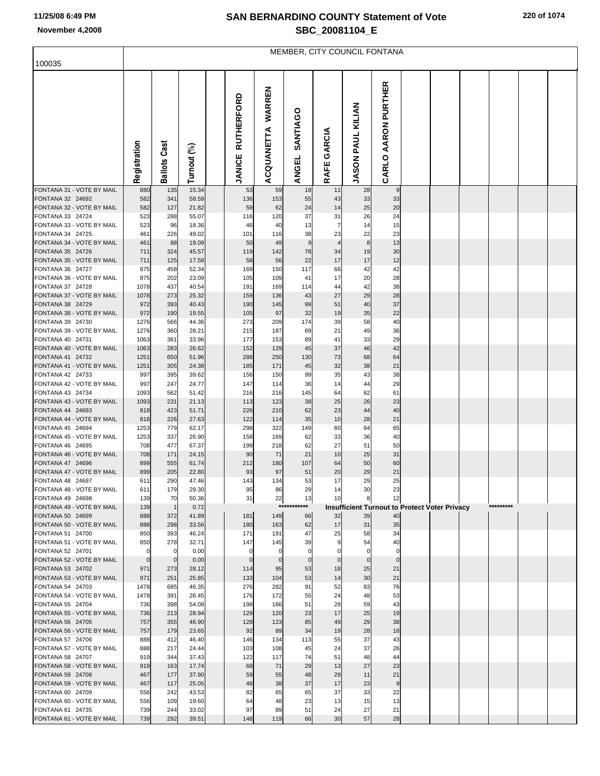MEMBER, CITY COUNCIL FONTANA

| 100035                                        |                 |                 |                |                   |            |                   |                      |                                                      |                      |  |           |  |
|-----------------------------------------------|-----------------|-----------------|----------------|-------------------|------------|-------------------|----------------------|------------------------------------------------------|----------------------|--|-----------|--|
|                                               |                 |                 |                |                   |            |                   |                      |                                                      |                      |  |           |  |
|                                               |                 |                 |                |                   |            |                   |                      |                                                      | <b>AARON PURTHER</b> |  |           |  |
|                                               |                 |                 |                | <b>RUTHERFORD</b> | WARREN     |                   |                      |                                                      |                      |  |           |  |
|                                               |                 |                 |                |                   |            | SANTIAGO          |                      | <b>JASON PAUL KILIAN</b>                             |                      |  |           |  |
|                                               |                 |                 |                |                   |            |                   |                      |                                                      |                      |  |           |  |
|                                               |                 |                 |                |                   |            |                   |                      |                                                      |                      |  |           |  |
|                                               |                 | Cast            |                |                   |            |                   | GARCIA               |                                                      |                      |  |           |  |
|                                               | Registration    |                 |                |                   | ACQUANETTA |                   |                      |                                                      | CARLO                |  |           |  |
|                                               |                 | <b>Ballots</b>  | Turnout (%)    | <b>JANICE</b>     |            | <b>ANGEL</b>      | RAFE                 |                                                      |                      |  |           |  |
| FONTANA 31 - VOTE BY MAIL                     | 880             | 135             | 15.34          | 53                | 59         | 18                | 11                   | 28                                                   | 9                    |  |           |  |
| FONTANA 32 24692<br>FONTANA 32 - VOTE BY MAIL | 582<br>582      | 341<br>127      | 58.59<br>21.82 | 136<br>59         | 153<br>62  | 55<br>24          | 43<br>14             | 33<br>25                                             | 33<br>20             |  |           |  |
| FONTANA 33 24724                              | 523             | 288             | 55.07          | 116               | 120        | 37                | 31                   | 26                                                   | 24                   |  |           |  |
| FONTANA 33 - VOTE BY MAIL                     | 523             | 96              | 18.36          | 46                | 40         | 13                | 7                    | 14                                                   | 15                   |  |           |  |
| FONTANA 34 24725<br>FONTANA 34 - VOTE BY MAIL | 461<br>461      | 226<br>88       | 49.02<br>19.09 | 101<br>50         | 116<br>49  | 38<br>9           | 23<br>$\overline{4}$ | 22<br>8                                              | 23<br>13             |  |           |  |
| FONTANA 35 24726                              | 711             | 324             | 45.57          | 119               | 142        | 78                | 34                   | 19                                                   | 30                   |  |           |  |
| FONTANA 35 - VOTE BY MAIL                     | 711             | 125             | 17.58          | 58                | 56         | 22                | 17                   | 17                                                   | 12                   |  |           |  |
| FONTANA 36 24727<br>FONTANA 36 - VOTE BY MAIL | 875<br>875      | 458<br>202      | 52.34<br>23.09 | 169<br>105        | 150<br>109 | 117<br>41         | 66<br>17             | 42<br>20                                             | 42<br>28             |  |           |  |
| FONTANA 37 24728                              | 1078            | 437             | 40.54          | 191               | 169        | 114               | 44                   | 42                                                   | 38                   |  |           |  |
| FONTANA 37 - VOTE BY MAIL                     | 1078            | 273             | 25.32          | 159               | 136        | 43                | 27                   | 29                                                   | 28                   |  |           |  |
| FONTANA 38 24729<br>FONTANA 38 - VOTE BY MAIL | 972<br>972      | 393<br>190      | 40.43<br>19.55 | 190<br>105        | 145<br>97  | 99<br>32          | 51<br>19             | 40<br>35                                             | 37<br>22             |  |           |  |
| FONTANA 39 24730                              | 1276            | 566             | 44.36          | 273               | 209        | 174               | 39                   | 58                                                   | 40                   |  |           |  |
| FONTANA 39 - VOTE BY MAIL                     | 1276            | 360             | 28.21          | 215               | 187        | 69                | 21                   | 49                                                   | 36                   |  |           |  |
| FONTANA 40 24731<br>FONTANA 40 - VOTE BY MAIL | 1063<br>1063    | 361<br>283      | 33.96<br>26.62 | 177<br>152        | 153<br>129 | 89<br>45          | 41<br>37             | 33<br>46                                             | 29<br>42             |  |           |  |
| FONTANA 41 24732                              | 1251            | 650             | 51.96          | 288               | 250        | 130               | 73                   | 68                                                   | 64                   |  |           |  |
| FONTANA 41 - VOTE BY MAIL                     | 1251            | 305             | 24.38          | 185               | 171        | 45                | 32                   | 38                                                   | 21                   |  |           |  |
| FONTANA 42 24733<br>FONTANA 42 - VOTE BY MAIL | 997<br>997      | 395             | 39.62          | 156<br>147        | 150        | 99                | 35                   | 43                                                   | 38                   |  |           |  |
| FONTANA 43 24734                              | 1093            | 247<br>562      | 24.77<br>51.42 | 216               | 114<br>216 | 36<br>145         | 14<br>64             | 44<br>62                                             | 29<br>61             |  |           |  |
| FONTANA 43 - VOTE BY MAIL                     | 1093            | 231             | 21.13          | 113               | 123        | 38                | 25                   | 26                                                   | 23                   |  |           |  |
| FONTANA 44 24693                              | 818             | 423             | 51.71          | 226               | 210        | 62                | 23                   | 44                                                   | 40                   |  |           |  |
| FONTANA 44 - VOTE BY MAIL<br>FONTANA 45 24694 | 818<br>1253     | 226<br>779      | 27.63<br>62.17 | 122<br>298        | 114<br>322 | 35<br>149         | 10<br>60             | 28<br>84                                             | 21<br>65             |  |           |  |
| FONTANA 45 - VOTE BY MAIL                     | 1253            | 337             | 26.90          | 158               | 169        | 62                | 33                   | 36                                                   | 40                   |  |           |  |
| FONTANA 46 24695                              | 708             | 477             | 67.37          | 199               | 218        | 62                | 27                   | 51                                                   | 50                   |  |           |  |
| FONTANA 46 - VOTE BY MAIL<br>FONTANA 47 24696 | 708<br>899      | 171<br>555      | 24.15<br>61.74 | 90<br>212         | 71<br>180  | 21<br>107         | 10<br>64             | 25<br>50                                             | 31<br>60             |  |           |  |
| FONTANA 47 - VOTE BY MAIL                     | 899             | 205             | 22.80          | 93                | 97         | 51                | 20                   | 29                                                   | 21                   |  |           |  |
| FONTANA 48 24697                              | 611             | 290             | 47.46          | 143               | 134        | 53                | 17                   | 29                                                   | 25                   |  |           |  |
| FONTANA 48 - VOTE BY MAIL<br>FONTANA 49 24698 | 611<br>139      | 179<br>70       | 29.30<br>50.36 | 95<br>31          | 86<br>22   | 29<br>13          | 14<br>10             | 30<br>ŏ                                              | 23<br>12             |  |           |  |
| FONTANA 49 - VOTE BY MAIL                     | 139             | $\mathbf{1}$    | 0.72           |                   |            | ***********       |                      | <b>Insufficient Turnout to Protect Voter Privacy</b> |                      |  | ********* |  |
| FONTANA 50 24699                              | 888             | 372             | 41.89          | 181               | 149        | 66                | 32                   | 39                                                   | 40                   |  |           |  |
| FONTANA 50 - VOTE BY MAIL<br>FONTANA 51 24700 | 888<br>850      | 298<br>393      | 33.56<br>46.24 | 180<br>171        | 163<br>191 | 62<br>47          | 17<br>25             | 31<br>58                                             | 35<br>34             |  |           |  |
| FONTANA 51 - VOTE BY MAIL                     | 850             | 278             | 32.71          | 147               | 145        | 39                |                      | 54                                                   | 40                   |  |           |  |
| FONTANA 52 24701                              |                 | $\mathbf 0$     | 0.00           |                   | 0          |                   |                      |                                                      | $\Omega$             |  |           |  |
| FONTANA 52 - VOTE BY MAIL<br>FONTANA 53 24702 | $\Omega$<br>971 | $\Omega$<br>273 | 0.00<br>28.12  | $\epsilon$<br>114 | -0<br>95   | $\mathbf 0$<br>53 | $\mathbf 0$<br>18    | 25                                                   | $\Omega$<br>21       |  |           |  |
| FONTANA 53 - VOTE BY MAIL                     | 971             | 251             | 25.85          | 133               | 104        | 53                | 14                   | 30                                                   | 21                   |  |           |  |
| FONTANA 54 24703                              | 1478            | 685             | 46.35          | 276               | 282        | 91                | 52                   | 83                                                   | 76                   |  |           |  |
| FONTANA 54 - VOTE BY MAIL<br>FONTANA 55 24704 | 1478<br>736     | 391<br>398      | 26.45<br>54.08 | 176<br>198        | 172<br>166 | 55<br>51          | 24<br>28             | 48<br>59                                             | 53<br>43             |  |           |  |
| FONTANA 55 - VOTE BY MAIL                     | 736             | 213             | 28.94          | 129               | 120        | 23                | 17                   | 25                                                   | 19                   |  |           |  |
| FONTANA 56 24705                              | 757             | 355             | 46.90          | 128               | 123        | 85                | 49                   | 29                                                   | 38                   |  |           |  |
| FONTANA 56 - VOTE BY MAIL<br>FONTANA 57 24706 | 757<br>888      | 179<br>412      | 23.65<br>46.40 | 92<br>146         | 89<br>134  | 34<br>113         | 19<br>55             | 28<br>37                                             | 18<br>43             |  |           |  |
| FONTANA 57 - VOTE BY MAIL                     | 888             | 217             | 24.44          | 103               | 108        | 45                | 24                   | 37                                                   | 26                   |  |           |  |
| FONTANA 58 24707                              | 919             | 344             | 37.43          | 122               | 117        | 74                | 51                   | 48                                                   | 44                   |  |           |  |
| FONTANA 58 - VOTE BY MAIL<br>FONTANA 59 24708 | 919<br>467      | 163<br>177      | 17.74<br>37.90 | 68<br>59          | 71<br>55   | 29<br>48          | 13<br>29             | 27<br>11                                             | 23<br>21             |  |           |  |
| FONTANA 59 - VOTE BY MAIL                     | 467             | 117             | 25.05          | 48                | 38         | 37                | 17                   | 23                                                   | 9                    |  |           |  |
| FONTANA 60 24709                              | 556             | 242             | 43.53          | 82                | 65         | 65                | 37                   | 33                                                   | 22                   |  |           |  |
| FONTANA 60 - VOTE BY MAIL<br>FONTANA 61 24735 | 556<br>739      | 109<br>244      | 19.60<br>33.02 | 64<br>97          | 48<br>89   | 23<br>51          | 13<br>24             | 15<br>27                                             | 13<br>21             |  |           |  |
| FONTANA 61 - VOTE BY MAIL                     | 739             | 292             | 39.51          | 148               | 119        | 66                | 30                   | 57                                                   | 28                   |  |           |  |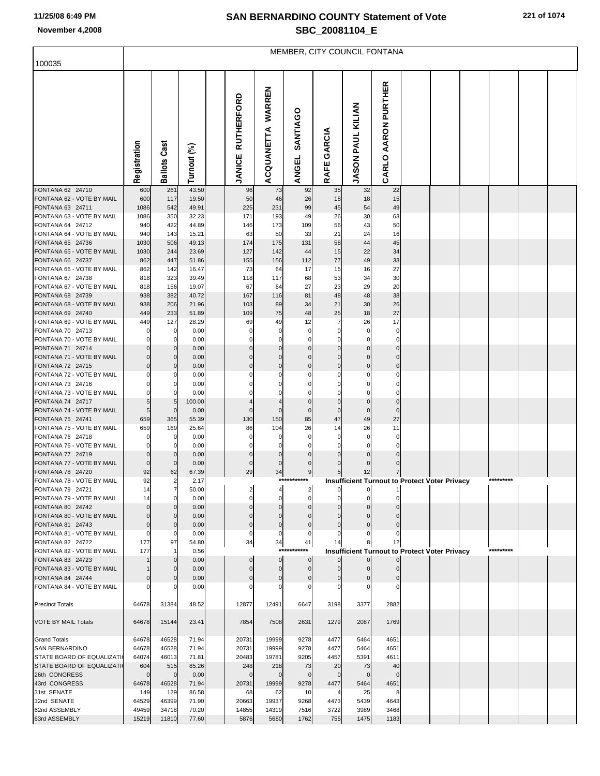| 100035                                                        | MEMBER, CITY COUNCIL FONTANA     |                            |                |  |                                    |                          |                            |                            |                            |                                                      |  |  |  |           |  |  |
|---------------------------------------------------------------|----------------------------------|----------------------------|----------------|--|------------------------------------|--------------------------|----------------------------|----------------------------|----------------------------|------------------------------------------------------|--|--|--|-----------|--|--|
|                                                               |                                  |                            |                |  |                                    |                          |                            |                            |                            |                                                      |  |  |  |           |  |  |
|                                                               | Registration                     | Cast<br><b>Ballots</b>     | Turnout (%)    |  | <b>RUTHERFORD</b><br><b>JANICE</b> | WARREN<br>ACQUANETTA     | SANTIAGO<br><b>ANGEL</b>   | GARCIA<br>RAFE             | <b>JASON PAUL KILIAN</b>   | AARON PURTHER<br>CARLO                               |  |  |  |           |  |  |
| FONTANA 62 24710                                              | 600                              | 261                        | 43.50          |  | 96                                 | 73                       | 92                         | 35                         | 32                         | 22                                                   |  |  |  |           |  |  |
| FONTANA 62 - VOTE BY MAIL<br>FONTANA 63 24711                 | 600<br>1086                      | 117<br>542                 | 19.50<br>49.91 |  | 50<br>225                          | 46<br>231                | 26<br>99                   | 18<br>45                   | 18<br>54                   | 15<br>49                                             |  |  |  |           |  |  |
| FONTANA 63 - VOTE BY MAIL                                     | 1086                             | 350                        | 32.23          |  | 171                                | 193                      | 49                         | 26                         | 30                         | 63                                                   |  |  |  |           |  |  |
| FONTANA 64 24712                                              | 940                              | 422                        | 44.89          |  | 146                                | 173                      | 109                        | 56                         | 43                         | 50                                                   |  |  |  |           |  |  |
| FONTANA 64 - VOTE BY MAIL                                     | 940                              | 143                        | 15.21          |  | 63                                 | 50                       | 33                         | 21                         | 24                         | 16                                                   |  |  |  |           |  |  |
| FONTANA 65 24736                                              | 1030                             | 506                        | 49.13          |  | 174                                | 175                      | 131                        | 58                         | 44                         | 45                                                   |  |  |  |           |  |  |
| FONTANA 65 - VOTE BY MAIL<br>FONTANA 66 24737                 | 1030<br>862                      | 244<br>447                 | 23.69<br>51.86 |  | 127<br>155                         | 142<br>156               | 44<br>112                  | 15<br>77                   | 22<br>49                   | 34<br>33                                             |  |  |  |           |  |  |
| FONTANA 66 - VOTE BY MAIL                                     | 862                              | 142                        | 16.47          |  | 73                                 | 64                       | 17                         | 15                         | 16                         | 27                                                   |  |  |  |           |  |  |
| FONTANA 67 24738                                              | 818                              | 323                        | 39.49          |  | 118                                | 117                      | 68                         | 53                         | 34                         | 30                                                   |  |  |  |           |  |  |
| FONTANA 67 - VOTE BY MAIL                                     | 818                              | 156                        | 19.07          |  | 67                                 | 64                       | 27                         | 23                         | 29                         | 20                                                   |  |  |  |           |  |  |
| FONTANA 68 24739                                              | 938                              | 382                        | 40.72          |  | 167                                | 116                      | 81                         | 48                         | 48                         | 38                                                   |  |  |  |           |  |  |
| FONTANA 68 - VOTE BY MAIL<br>FONTANA 69 24740                 | 938<br>449                       | 206<br>233                 | 21.96<br>51.89 |  | 103<br>109                         | 89<br>75                 | 34<br>48                   | 21<br>25                   | 30<br>18                   | 26<br>27                                             |  |  |  |           |  |  |
| FONTANA 69 - VOTE BY MAIL                                     | 449                              | 127                        | 28.29          |  | 69                                 | 49                       | 12                         | $\overline{7}$             | 26                         | 17                                                   |  |  |  |           |  |  |
| FONTANA 70 24713                                              |                                  | 0                          | 0.00           |  |                                    | 0                        | 0                          | 0                          | $\mathbf 0$                | 0                                                    |  |  |  |           |  |  |
| FONTANA 70 - VOTE BY MAIL                                     |                                  | 0                          | 0.00           |  | 0                                  | $\mathbf 0$              | $\Omega$                   | C                          | $\Omega$                   | $\mathbf 0$                                          |  |  |  |           |  |  |
| FONTANA 71 24714                                              | $\Omega$                         | $\mathbf 0$                | 0.00           |  | $\Omega$                           | $\mathbf 0$              | $\mathbf 0$                | $\mathbf 0$                | $\mathbf 0$                | $\mathbf 0$                                          |  |  |  |           |  |  |
| FONTANA 71 - VOTE BY MAIL<br>FONTANA 72 24715                 | $\overline{0}$<br>$\overline{0}$ | 0<br>$\mathbf 0$           | 0.00<br>0.00   |  | $\Omega$<br>$\mathbf 0$            | $\mathbf 0$<br>$\pmb{0}$ | $\mathbf 0$<br>$\mathbf 0$ | $\mathbf 0$<br>$\mathbf 0$ | $\mathbf 0$<br>$\mathbf 0$ | $\mathbf 0$<br>$\mathbf 0$                           |  |  |  |           |  |  |
| FONTANA 72 - VOTE BY MAIL                                     |                                  | 0                          | 0.00           |  |                                    | 0                        | 0                          | C                          | 0                          | $\Omega$                                             |  |  |  |           |  |  |
| FONTANA 73 24716                                              |                                  | 0                          | 0.00           |  |                                    | 0                        | $\Omega$                   | 0                          | $\mathbf 0$                | $\mathbf 0$                                          |  |  |  |           |  |  |
| FONTANA 73 - VOTE BY MAIL                                     |                                  | 0                          | 0.00           |  |                                    | $\Omega$                 | 0                          | C                          | 0                          | $\Omega$                                             |  |  |  |           |  |  |
| FONTANA 74 24717<br>FONTANA 74 - VOTE BY MAIL                 | 5                                | 5<br>$\mathbf 0$           | 100.00         |  | $\Omega$                           | 4<br>$\mathbf 0$         | $\pmb{0}$<br>$\mathbf 0$   | $\mathbf 0$<br>$\mathbf 0$ | $\mathbf 0$<br>$\mathbf 0$ | $\mathbf 0$<br>$\mathbf 0$                           |  |  |  |           |  |  |
| FONTANA 75 24741                                              | 5<br>659                         | 365                        | 0.00<br>55.39  |  | 130                                | 150                      | 85                         | 47                         | 49                         | 27                                                   |  |  |  |           |  |  |
| FONTANA 75 - VOTE BY MAIL                                     | 659                              | 169                        | 25.64          |  | 86                                 | 104                      | 26                         | 14                         | 26                         | 11                                                   |  |  |  |           |  |  |
| FONTANA 76 24718                                              |                                  | 0                          | 0.00           |  | 0                                  | 0                        | 0                          | 0                          | $\mathbf 0$                | 0                                                    |  |  |  |           |  |  |
| FONTANA 76 - VOTE BY MAIL                                     |                                  | 0                          | 0.00           |  | $\Omega$                           | 0                        | $\Omega$                   | $\Omega$                   | $\Omega$                   | $\Omega$                                             |  |  |  |           |  |  |
| FONTANA 77 24719<br>FONTANA 77 - VOTE BY MAIL                 | $\mathbf 0$<br>$\mathbf 0$       | $\mathbf 0$<br>$\mathbf 0$ | 0.00<br>0.00   |  | $\mathbf 0$<br>0                   | $\pmb{0}$<br>$\mathbf 0$ | $\Omega$<br>$\mathbf 0$    | C<br>C                     | $\Omega$<br>$\Omega$       | $\Omega$                                             |  |  |  |           |  |  |
| FONTANA 78 24720                                              | 92                               | 62                         | 67.39          |  | 29                                 | 34                       | 9                          | 5                          | 12                         |                                                      |  |  |  |           |  |  |
| FONTANA 78 - VOTE BY MAIL                                     | 92                               | $\overline{\mathbf{c}}$    | 2.17           |  |                                    |                          | ***********                |                            |                            | <b>Insufficient Turnout to Protect Voter Privacy</b> |  |  |  | ********* |  |  |
| FONTANA 79 24721                                              | 14                               |                            | 50.00          |  |                                    |                          |                            |                            |                            |                                                      |  |  |  |           |  |  |
| FONTANA 79 - VOTE BY MAIL<br>FONTANA 80 24742                 | 14<br>$\Omega$                   | 0<br>$\mathbf 0$           | 0.00           |  |                                    | $\Omega$<br>$\mathbf{0}$ | $\Omega$                   |                            | 0<br>$\Omega$              |                                                      |  |  |  |           |  |  |
| FONTANA 80 - VOTE BY MAIL                                     | $\mathbf 0$                      | $\mathbf 0$                | 0.00<br>0.00   |  |                                    | $\Omega$                 |                            |                            |                            |                                                      |  |  |  |           |  |  |
| FONTANA 81 24743                                              | $\mathbf 0$                      | $\mathbf 0$                | 0.00           |  | $\mathbf 0$                        | $\mathbf 0$              | $\mathbf 0$                | C                          | $\Omega$                   | $\Omega$                                             |  |  |  |           |  |  |
| FONTANA 81 - VOTE BY MAIL                                     | $\Omega$                         | $\Omega$                   | 0.00           |  | 0                                  | $\mathbf 0$              | 0                          |                            |                            |                                                      |  |  |  |           |  |  |
| FONTANA 82 24722<br>FONTANA 82 - VOTE BY MAIL                 | 177<br>177                       | 97<br>1                    | 54.80          |  | 34                                 | 34<br>***                | 41<br>******               | 14                         | 8                          | 12                                                   |  |  |  | ********* |  |  |
| FONTANA 83 24723                                              |                                  | $\mathbf 0$                | 0.56<br>0.00   |  | 0                                  | $\mathbf 0$              | $\mathbf 0$                |                            |                            | <b>Insufficient Turnout to Protect Voter Privacy</b> |  |  |  |           |  |  |
| FONTANA 83 - VOTE BY MAIL                                     |                                  | $\mathbf 0$                | 0.00           |  | $\Omega$                           | $\mathbf 0$              | $\mathbf 0$                |                            |                            |                                                      |  |  |  |           |  |  |
| FONTANA 84 24744                                              |                                  | $\mathbf 0$                | 0.00           |  | $\Omega$                           | $\mathbf 0$              | $\Omega$                   |                            |                            | C                                                    |  |  |  |           |  |  |
| FONTANA 84 - VOTE BY MAIL                                     |                                  |                            | 0.00           |  |                                    | $\mathbf 0$              |                            |                            |                            |                                                      |  |  |  |           |  |  |
| <b>Precinct Totals</b>                                        | 64678                            | 31384                      | 48.52          |  | 12877                              | 12491                    | 6647                       | 3198                       | 3377                       | 2882                                                 |  |  |  |           |  |  |
|                                                               |                                  |                            |                |  |                                    |                          |                            |                            |                            |                                                      |  |  |  |           |  |  |
| <b>VOTE BY MAIL Totals</b>                                    | 64678                            | 15144                      | 23.41          |  | 7854                               | 7508                     | 2631                       | 1279                       | 2087                       | 1769                                                 |  |  |  |           |  |  |
| <b>Grand Totals</b>                                           | 64678                            | 46528                      | 71.94          |  | 20731                              | 19999                    | 9278                       | 4477                       | 5464                       | 4651                                                 |  |  |  |           |  |  |
| <b>SAN BERNARDINO</b>                                         | 64678                            | 46528                      | 71.94          |  | 20731                              | 19999                    | 9278                       | 4477                       | 5464                       | 4651                                                 |  |  |  |           |  |  |
| <b>STATE BOARD OF EQUALIZATI</b><br>STATE BOARD OF EQUALIZATI | 64074<br>604                     | 46013<br>515               | 71.81<br>85.26 |  | 20483<br>248                       | 19781<br>218             | 9205<br>73                 | 4457<br>20                 | 5391<br>73                 | 4611<br>40                                           |  |  |  |           |  |  |
| 26th CONGRESS                                                 |                                  | $\Omega$                   | 0.00           |  |                                    | $\Omega$                 |                            | $\epsilon$                 | $\Omega$                   | $\Omega$                                             |  |  |  |           |  |  |
| 43rd CONGRESS                                                 | 64678                            | 46528                      | 71.94          |  | 20731                              | 19999                    | 9278                       | 4477                       | 5464                       | 4651                                                 |  |  |  |           |  |  |
| 31st SENATE                                                   | 149                              | 129                        | 86.58          |  | 68                                 | 62                       | 10                         |                            | 25                         | 8                                                    |  |  |  |           |  |  |
| 32nd SENATE                                                   | 64529                            | 46399                      | 71.90          |  | 20663                              | 19937                    | 9268                       | 4473                       | 5439                       | 4643                                                 |  |  |  |           |  |  |
| 62nd ASSEMBLY<br>63rd ASSEMBLY                                | 49459<br>15219                   | 34718<br>11810             | 70.20<br>77.60 |  | 14855<br>5876                      | 14319<br>5680            | 7516<br>1762               | 3722<br>755                | 3989<br>1475               | 3468<br>1183                                         |  |  |  |           |  |  |
|                                                               |                                  |                            |                |  |                                    |                          |                            |                            |                            |                                                      |  |  |  |           |  |  |